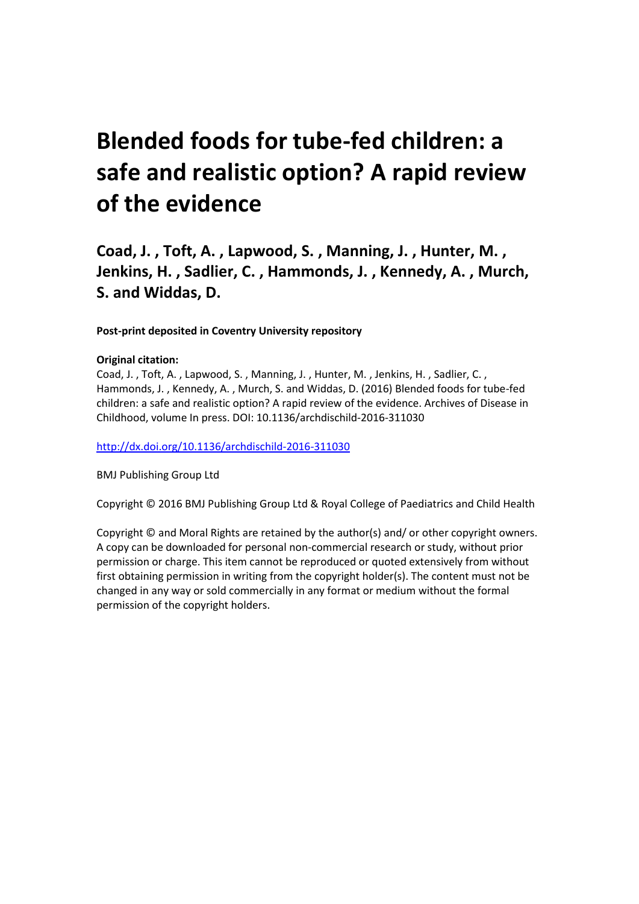# **Blended foods for tube-fed children: a safe and realistic option? A rapid review of the evidence**

**Coad, J. , Toft, A. , Lapwood, S. , Manning, J. , Hunter, M. , Jenkins, H. , Sadlier, C. , Hammonds, J. , Kennedy, A. , Murch, S. and Widdas, D.**

**Post-print deposited in Coventry University repository**

#### **Original citation:**

Coad, J. , Toft, A. , Lapwood, S. , Manning, J. , Hunter, M. , Jenkins, H. , Sadlier, C. , Hammonds, J. , Kennedy, A. , Murch, S. and Widdas, D. (2016) Blended foods for tube-fed children: a safe and realistic option? A rapid review of the evidence. Archives of Disease in Childhood, volume In press. DOI: 10.1136/archdischild-2016-311030

<http://dx.doi.org/10.1136/archdischild-2016-311030>

BMJ Publishing Group Ltd

Copyright © 2016 BMJ Publishing Group Ltd & Royal College of Paediatrics and Child Health

Copyright © and Moral Rights are retained by the author(s) and/ or other copyright owners. A copy can be downloaded for personal non-commercial research or study, without prior permission or charge. This item cannot be reproduced or quoted extensively from without first obtaining permission in writing from the copyright holder(s). The content must not be changed in any way or sold commercially in any format or medium without the formal permission of the copyright holders.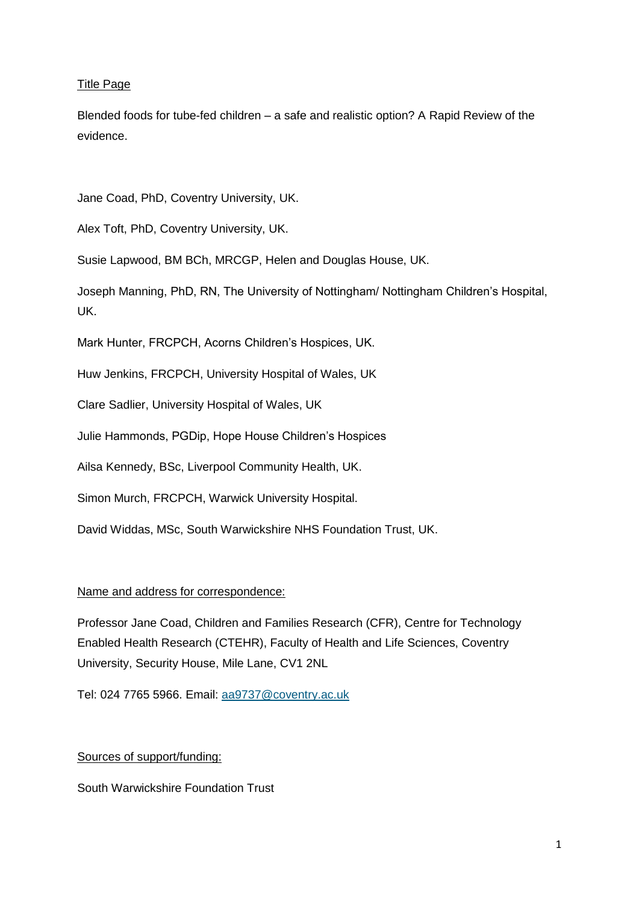# Title Page

Blended foods for tube-fed children – a safe and realistic option? A Rapid Review of the evidence.

Jane Coad, PhD, Coventry University, UK.

Alex Toft, PhD, Coventry University, UK.

Susie Lapwood, BM BCh, MRCGP, Helen and Douglas House, UK.

Joseph Manning, PhD, RN, The University of Nottingham/ Nottingham Children's Hospital, UK.

Mark Hunter, FRCPCH, Acorns Children's Hospices, UK.

Huw Jenkins, FRCPCH, University Hospital of Wales, UK

Clare Sadlier, University Hospital of Wales, UK

Julie Hammonds, PGDip, Hope House Children's Hospices

Ailsa Kennedy, BSc, Liverpool Community Health, UK.

Simon Murch, FRCPCH, Warwick University Hospital.

David Widdas, MSc, South Warwickshire NHS Foundation Trust, UK.

# Name and address for correspondence:

Professor Jane Coad, Children and Families Research (CFR), Centre for Technology Enabled Health Research (CTEHR), Faculty of Health and Life Sciences, Coventry University, Security House, Mile Lane, CV1 2NL

Tel: 024 7765 5966. Email: [aa9737@coventry.ac.uk](mailto:aa9737@coventry.ac.uk)

# Sources of support/funding:

South Warwickshire Foundation Trust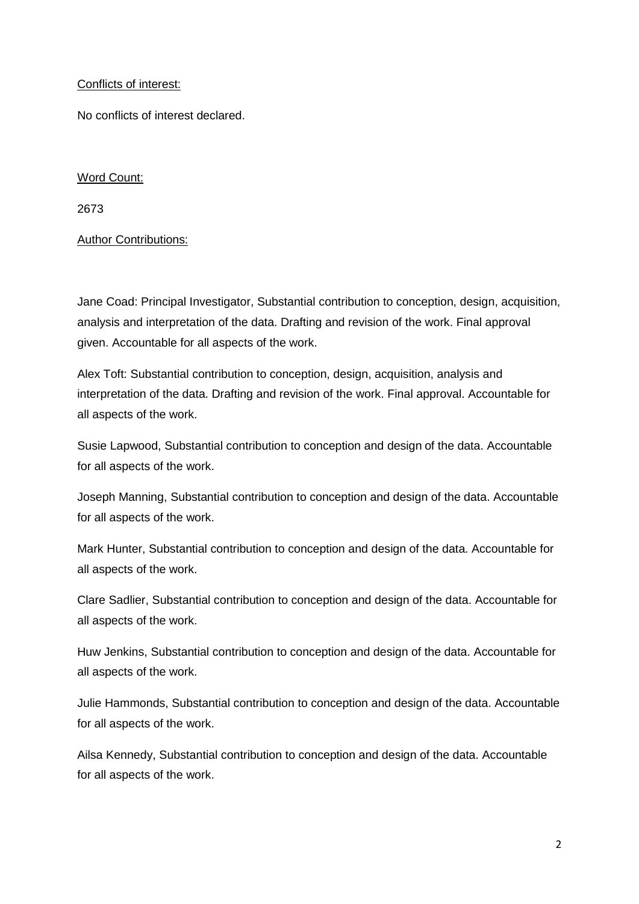# Conflicts of interest:

No conflicts of interest declared.

# Word Count:

2673

# Author Contributions:

Jane Coad: Principal Investigator, Substantial contribution to conception, design, acquisition, analysis and interpretation of the data. Drafting and revision of the work. Final approval given. Accountable for all aspects of the work.

Alex Toft: Substantial contribution to conception, design, acquisition, analysis and interpretation of the data. Drafting and revision of the work. Final approval. Accountable for all aspects of the work.

Susie Lapwood, Substantial contribution to conception and design of the data. Accountable for all aspects of the work.

Joseph Manning, Substantial contribution to conception and design of the data. Accountable for all aspects of the work.

Mark Hunter, Substantial contribution to conception and design of the data. Accountable for all aspects of the work.

Clare Sadlier, Substantial contribution to conception and design of the data. Accountable for all aspects of the work.

Huw Jenkins, Substantial contribution to conception and design of the data. Accountable for all aspects of the work.

Julie Hammonds, Substantial contribution to conception and design of the data. Accountable for all aspects of the work.

Ailsa Kennedy, Substantial contribution to conception and design of the data. Accountable for all aspects of the work.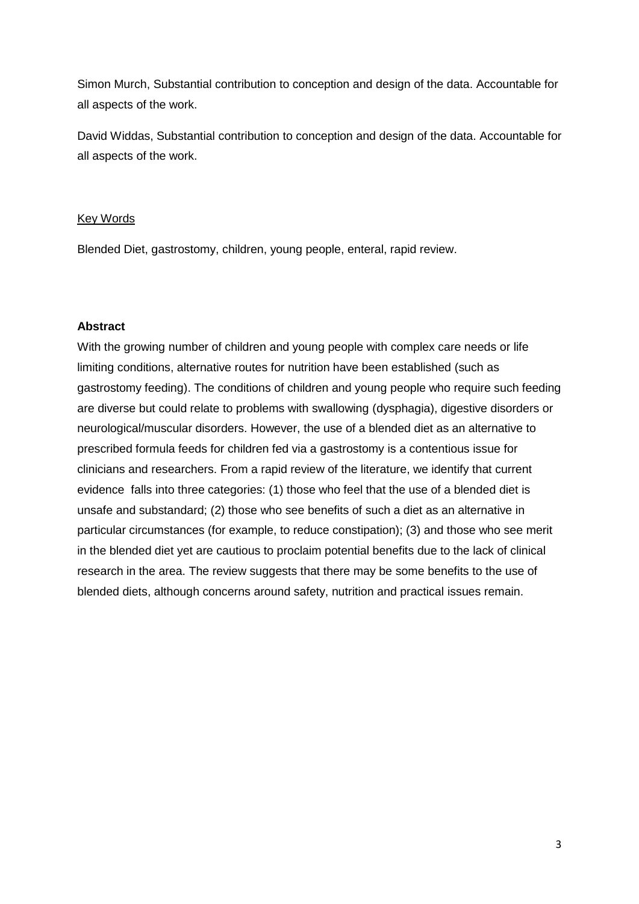Simon Murch, Substantial contribution to conception and design of the data. Accountable for all aspects of the work.

David Widdas, Substantial contribution to conception and design of the data. Accountable for all aspects of the work.

#### Key Words

Blended Diet, gastrostomy, children, young people, enteral, rapid review.

# **Abstract**

With the growing number of children and young people with complex care needs or life limiting conditions, alternative routes for nutrition have been established (such as gastrostomy feeding). The conditions of children and young people who require such feeding are diverse but could relate to problems with swallowing (dysphagia), digestive disorders or neurological/muscular disorders. However, the use of a blended diet as an alternative to prescribed formula feeds for children fed via a gastrostomy is a contentious issue for clinicians and researchers. From a rapid review of the literature, we identify that current evidence falls into three categories: (1) those who feel that the use of a blended diet is unsafe and substandard; (2) those who see benefits of such a diet as an alternative in particular circumstances (for example, to reduce constipation); (3) and those who see merit in the blended diet yet are cautious to proclaim potential benefits due to the lack of clinical research in the area. The review suggests that there may be some benefits to the use of blended diets, although concerns around safety, nutrition and practical issues remain.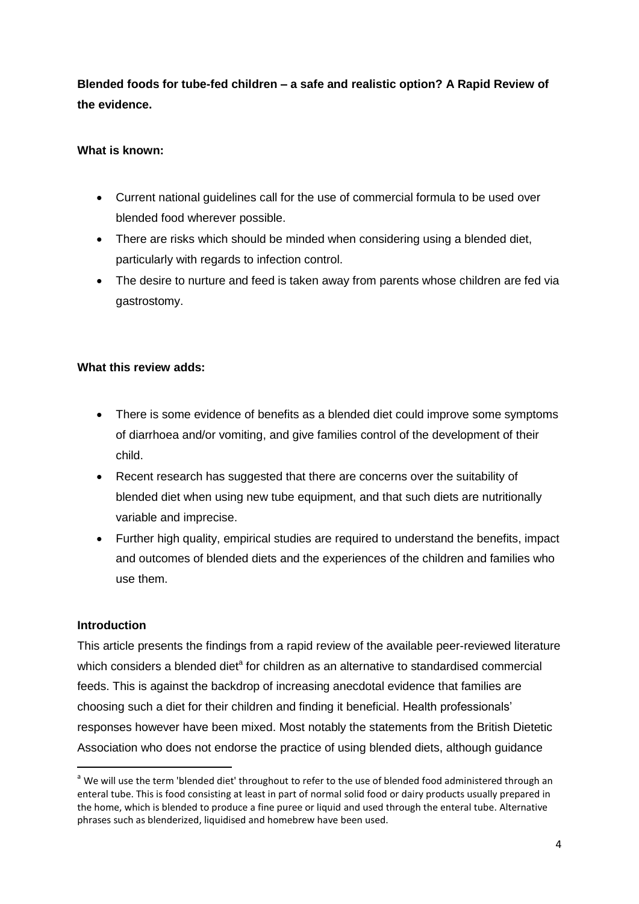**Blended foods for tube-fed children – a safe and realistic option? A Rapid Review of the evidence.**

# **What is known:**

- Current national guidelines call for the use of commercial formula to be used over blended food wherever possible.
- There are risks which should be minded when considering using a blended diet, particularly with regards to infection control.
- The desire to nurture and feed is taken away from parents whose children are fed via gastrostomy.

# **What this review adds:**

- There is some evidence of benefits as a blended diet could improve some symptoms of diarrhoea and/or vomiting, and give families control of the development of their child.
- Recent research has suggested that there are concerns over the suitability of blended diet when using new tube equipment, and that such diets are nutritionally variable and imprecise.
- Further high quality, empirical studies are required to understand the benefits, impact and outcomes of blended diets and the experiences of the children and families who use them.

# **Introduction**

**.** 

This article presents the findings from a rapid review of the available peer-reviewed literature which considers a blended diet<sup>a</sup> for children as an alternative to standardised commercial feeds. This is against the backdrop of increasing anecdotal evidence that families are choosing such a diet for their children and finding it beneficial. Health professionals' responses however have been mixed. Most notably the statements from the British Dietetic Association who does not endorse the practice of using blended diets, although guidance

<sup>&</sup>lt;sup>a</sup> We will use the term 'blended diet' throughout to refer to the use of blended food administered through an enteral tube. This is food consisting at least in part of normal solid food or dairy products usually prepared in the home, which is blended to produce a fine puree or liquid and used through the enteral tube. Alternative phrases such as blenderized, liquidised and homebrew have been used.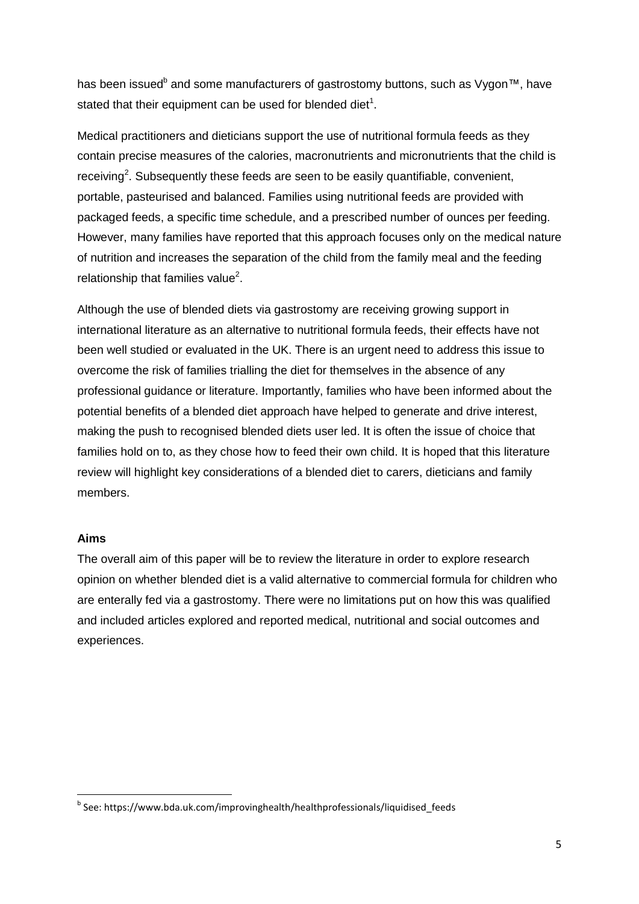has been issued<sup>b</sup> and some manufacturers of gastrostomy buttons, such as Vygon™, have stated that their equipment can be used for blended diet $^1$ .

Medical practitioners and dieticians support the use of nutritional formula feeds as they contain precise measures of the calories, macronutrients and micronutrients that the child is receiving<sup>2</sup>. Subsequently these feeds are seen to be easily quantifiable, convenient, portable, pasteurised and balanced. Families using nutritional feeds are provided with packaged feeds, a specific time schedule, and a prescribed number of ounces per feeding. However, many families have reported that this approach focuses only on the medical nature of nutrition and increases the separation of the child from the family meal and the feeding relationship that families value $^2$ .

Although the use of blended diets via gastrostomy are receiving growing support in international literature as an alternative to nutritional formula feeds, their effects have not been well studied or evaluated in the UK. There is an urgent need to address this issue to overcome the risk of families trialling the diet for themselves in the absence of any professional guidance or literature. Importantly, families who have been informed about the potential benefits of a blended diet approach have helped to generate and drive interest, making the push to recognised blended diets user led. It is often the issue of choice that families hold on to, as they chose how to feed their own child. It is hoped that this literature review will highlight key considerations of a blended diet to carers, dieticians and family members.

# **Aims**

**.** 

The overall aim of this paper will be to review the literature in order to explore research opinion on whether blended diet is a valid alternative to commercial formula for children who are enterally fed via a gastrostomy. There were no limitations put on how this was qualified and included articles explored and reported medical, nutritional and social outcomes and experiences.

<sup>&</sup>lt;sup>b</sup> See: https://www.bda.uk.com/improvinghealth/healthprofessionals/liquidised\_feeds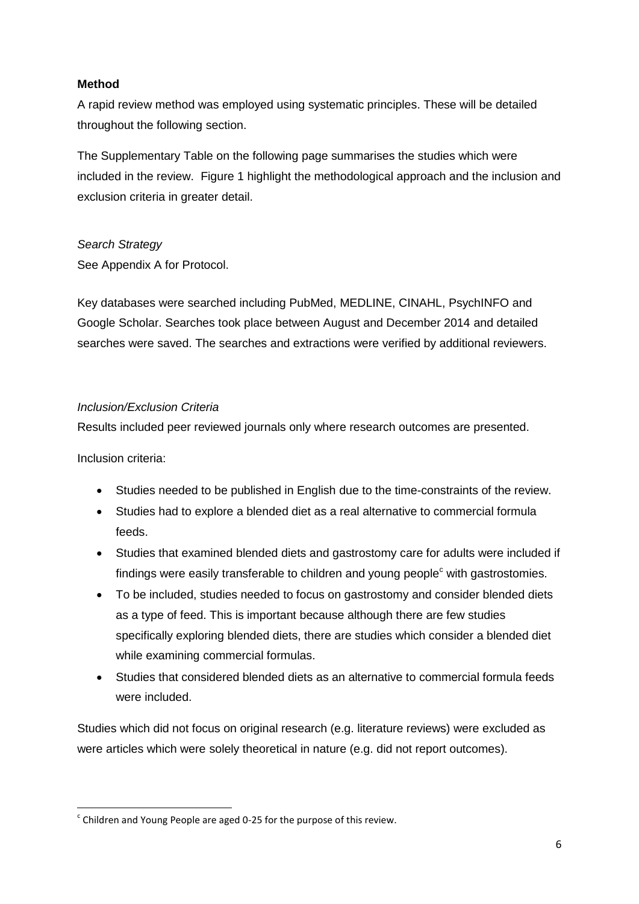# **Method**

A rapid review method was employed using systematic principles. These will be detailed throughout the following section.

The Supplementary Table on the following page summarises the studies which were included in the review. Figure 1 highlight the methodological approach and the inclusion and exclusion criteria in greater detail.

# *Search Strategy*

See Appendix A for Protocol.

Key databases were searched including PubMed, MEDLINE, CINAHL, PsychINFO and Google Scholar. Searches took place between August and December 2014 and detailed searches were saved. The searches and extractions were verified by additional reviewers.

# *Inclusion/Exclusion Criteria*

Results included peer reviewed journals only where research outcomes are presented.

Inclusion criteria:

- Studies needed to be published in English due to the time-constraints of the review.
- Studies had to explore a blended diet as a real alternative to commercial formula feeds.
- Studies that examined blended diets and gastrostomy care for adults were included if findings were easily transferable to children and young people $c$  with gastrostomies.
- To be included, studies needed to focus on gastrostomy and consider blended diets as a type of feed. This is important because although there are few studies specifically exploring blended diets, there are studies which consider a blended diet while examining commercial formulas.
- Studies that considered blended diets as an alternative to commercial formula feeds were included.

Studies which did not focus on original research (e.g. literature reviews) were excluded as were articles which were solely theoretical in nature (e.g. did not report outcomes).

**<sup>.</sup>**  $\textdegree$  Children and Young People are aged 0-25 for the purpose of this review.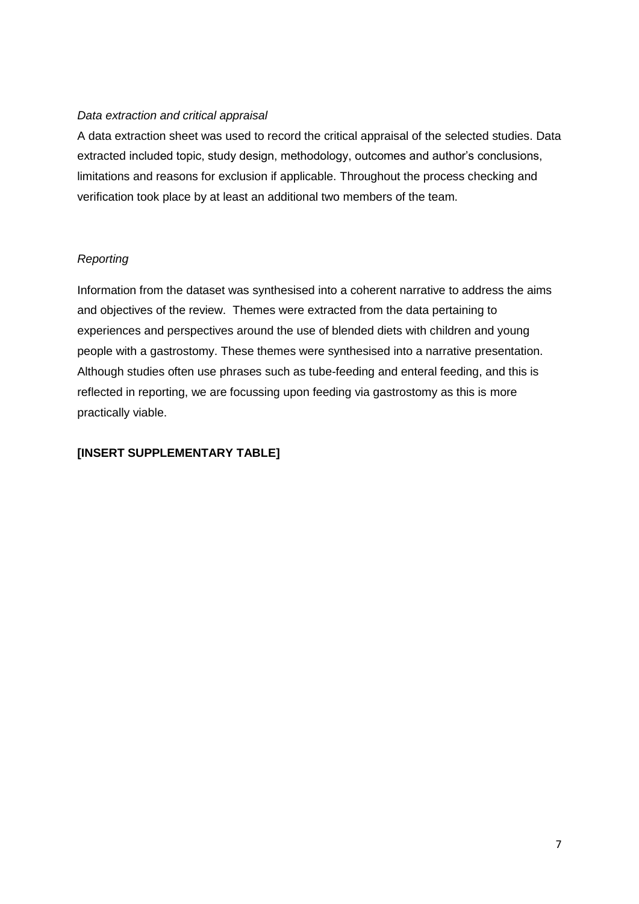# *Data extraction and critical appraisal*

A data extraction sheet was used to record the critical appraisal of the selected studies. Data extracted included topic, study design, methodology, outcomes and author's conclusions, limitations and reasons for exclusion if applicable. Throughout the process checking and verification took place by at least an additional two members of the team.

# *Reporting*

Information from the dataset was synthesised into a coherent narrative to address the aims and objectives of the review. Themes were extracted from the data pertaining to experiences and perspectives around the use of blended diets with children and young people with a gastrostomy. These themes were synthesised into a narrative presentation. Although studies often use phrases such as tube-feeding and enteral feeding, and this is reflected in reporting, we are focussing upon feeding via gastrostomy as this is more practically viable.

# **[INSERT SUPPLEMENTARY TABLE]**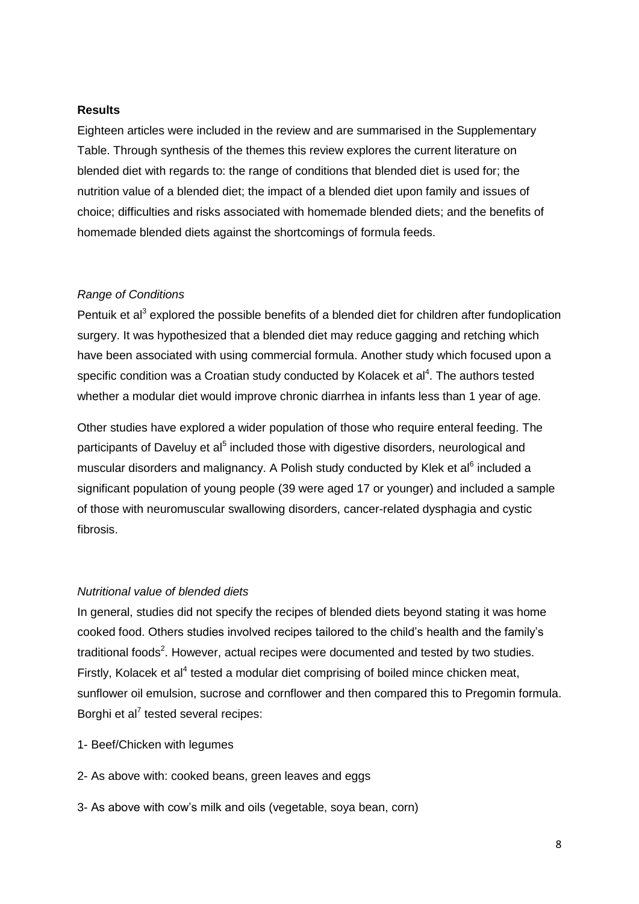#### **Results**

Eighteen articles were included in the review and are summarised in the Supplementary Table. Through synthesis of the themes this review explores the current literature on blended diet with regards to: the range of conditions that blended diet is used for; the nutrition value of a blended diet; the impact of a blended diet upon family and issues of choice; difficulties and risks associated with homemade blended diets; and the benefits of homemade blended diets against the shortcomings of formula feeds.

#### *Range of Conditions*

Pentuik et al<sup>3</sup> explored the possible benefits of a blended diet for children after fundoplication surgery. It was hypothesized that a blended diet may reduce gagging and retching which have been associated with using commercial formula. Another study which focused upon a specific condition was a Croatian study conducted by Kolacek et al $4$ . The authors tested whether a modular diet would improve chronic diarrhea in infants less than 1 year of age.

Other studies have explored a wider population of those who require enteral feeding. The participants of Daveluy et al<sup>5</sup> included those with digestive disorders, neurological and muscular disorders and malignancy. A Polish study conducted by Klek et al<sup>6</sup> included a significant population of young people (39 were aged 17 or younger) and included a sample of those with neuromuscular swallowing disorders, cancer-related dysphagia and cystic fibrosis.

#### *Nutritional value of blended diets*

In general, studies did not specify the recipes of blended diets beyond stating it was home cooked food. Others studies involved recipes tailored to the child's health and the family's traditional foods<sup>2</sup>. However, actual recipes were documented and tested by two studies. Firstly, Kolacek et al<sup>4</sup> tested a modular diet comprising of boiled mince chicken meat, sunflower oil emulsion, sucrose and cornflower and then compared this to Pregomin formula. Borghi et al<sup>7</sup> tested several recipes:

- 1- Beef/Chicken with legumes
- 2- As above with: cooked beans, green leaves and eggs
- 3- As above with cow's milk and oils (vegetable, soya bean, corn)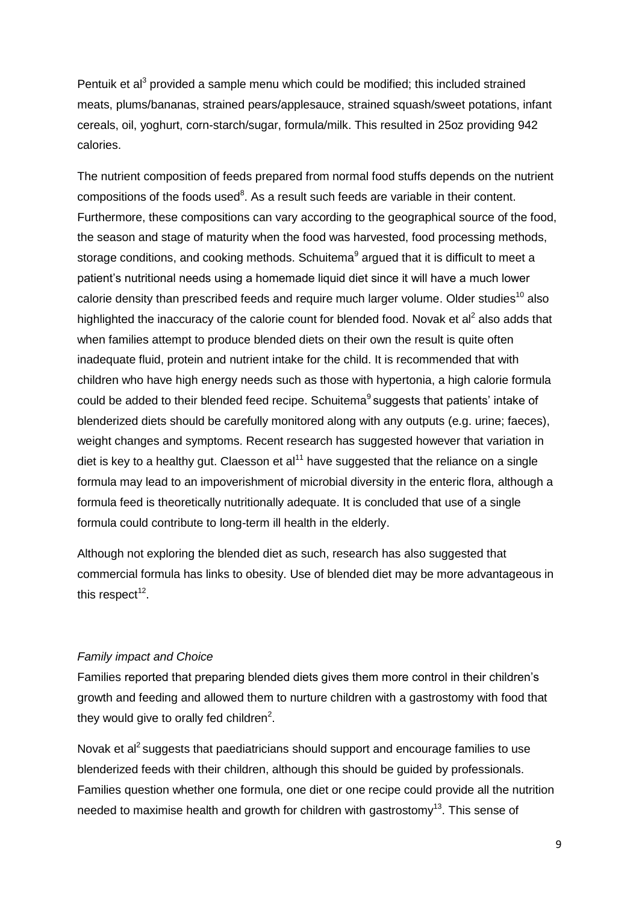Pentuik et al<sup>3</sup> provided a sample menu which could be modified; this included strained meats, plums/bananas, strained pears/applesauce, strained squash/sweet potations, infant cereals, oil, yoghurt, corn-starch/sugar, formula/milk. This resulted in 25oz providing 942 calories.

The nutrient composition of feeds prepared from normal food stuffs depends on the nutrient compositions of the foods used<sup>8</sup>. As a result such feeds are variable in their content. Furthermore, these compositions can vary according to the geographical source of the food, the season and stage of maturity when the food was harvested, food processing methods, storage conditions, and cooking methods. Schuitema<sup>9</sup> argued that it is difficult to meet a patient's nutritional needs using a homemade liquid diet since it will have a much lower calorie density than prescribed feeds and require much larger volume. Older studies<sup>10</sup> also highlighted the inaccuracy of the calorie count for blended food. Novak et al<sup>2</sup> also adds that when families attempt to produce blended diets on their own the result is quite often inadequate fluid, protein and nutrient intake for the child. It is recommended that with children who have high energy needs such as those with hypertonia, a high calorie formula could be added to their blended feed recipe. Schuitema<sup>9</sup> suggests that patients' intake of blenderized diets should be carefully monitored along with any outputs (e.g. urine; faeces), weight changes and symptoms. Recent research has suggested however that variation in diet is key to a healthy gut. Claesson et  $al<sup>11</sup>$  have suggested that the reliance on a single formula may lead to an impoverishment of microbial diversity in the enteric flora, although a formula feed is theoretically nutritionally adequate. It is concluded that use of a single formula could contribute to long-term ill health in the elderly.

Although not exploring the blended diet as such, research has also suggested that commercial formula has links to obesity. Use of blended diet may be more advantageous in this respect $^{12}$ .

#### *Family impact and Choice*

Families reported that preparing blended diets gives them more control in their children's growth and feeding and allowed them to nurture children with a gastrostomy with food that they would give to orally fed children $^2$ .

Novak et al<sup>2</sup> suggests that paediatricians should support and encourage families to use blenderized feeds with their children, although this should be guided by professionals. Families question whether one formula, one diet or one recipe could provide all the nutrition needed to maximise health and growth for children with gastrostomy<sup>13</sup>. This sense of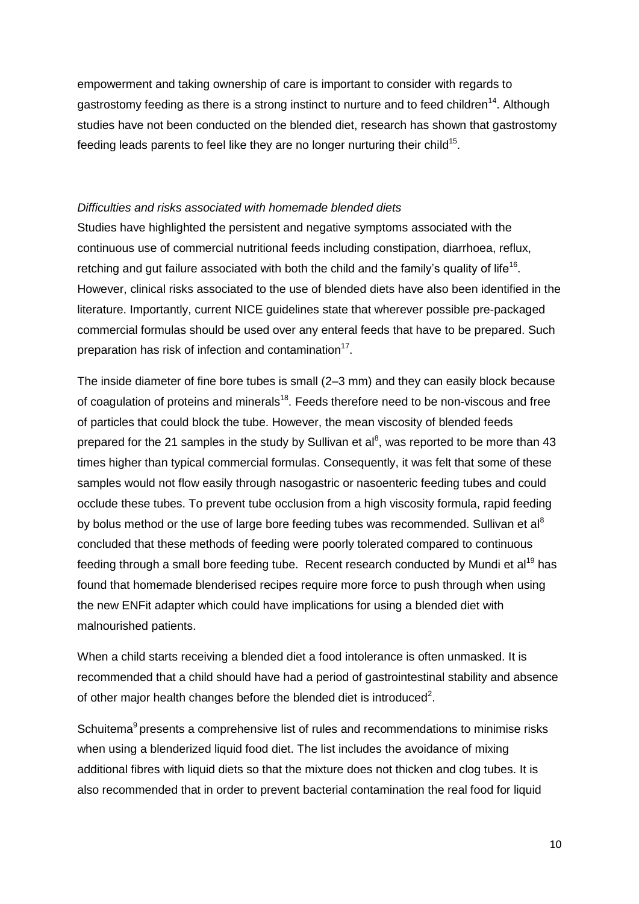empowerment and taking ownership of care is important to consider with regards to gastrostomy feeding as there is a strong instinct to nurture and to feed children<sup>14</sup>. Although studies have not been conducted on the blended diet, research has shown that gastrostomy feeding leads parents to feel like they are no longer nurturing their child<sup>15</sup>.

# *Difficulties and risks associated with homemade blended diets*

Studies have highlighted the persistent and negative symptoms associated with the continuous use of commercial nutritional feeds including constipation, diarrhoea, reflux, retching and gut failure associated with both the child and the family's quality of life<sup>16</sup>. However, clinical risks associated to the use of blended diets have also been identified in the literature. Importantly, current NICE guidelines state that wherever possible pre-packaged commercial formulas should be used over any enteral feeds that have to be prepared. Such preparation has risk of infection and contamination<sup>17</sup>.

The inside diameter of fine bore tubes is small (2–3 mm) and they can easily block because of coagulation of proteins and minerals<sup>18</sup>. Feeds therefore need to be non-viscous and free of particles that could block the tube. However, the mean viscosity of blended feeds prepared for the 21 samples in the study by Sullivan et al<sup>8</sup>, was reported to be more than 43 times higher than typical commercial formulas. Consequently, it was felt that some of these samples would not flow easily through nasogastric or nasoenteric feeding tubes and could occlude these tubes. To prevent tube occlusion from a high viscosity formula, rapid feeding by bolus method or the use of large bore feeding tubes was recommended. Sullivan et al<sup>8</sup> concluded that these methods of feeding were poorly tolerated compared to continuous feeding through a small bore feeding tube. Recent research conducted by Mundi et al<sup>19</sup> has found that homemade blenderised recipes require more force to push through when using the new ENFit adapter which could have implications for using a blended diet with malnourished patients.

When a child starts receiving a blended diet a food intolerance is often unmasked. It is recommended that a child should have had a period of gastrointestinal stability and absence of other major health changes before the blended diet is introduced<sup>2</sup>.

Schuitema<sup>9</sup> presents a comprehensive list of rules and recommendations to minimise risks when using a blenderized liquid food diet. The list includes the avoidance of mixing additional fibres with liquid diets so that the mixture does not thicken and clog tubes. It is also recommended that in order to prevent bacterial contamination the real food for liquid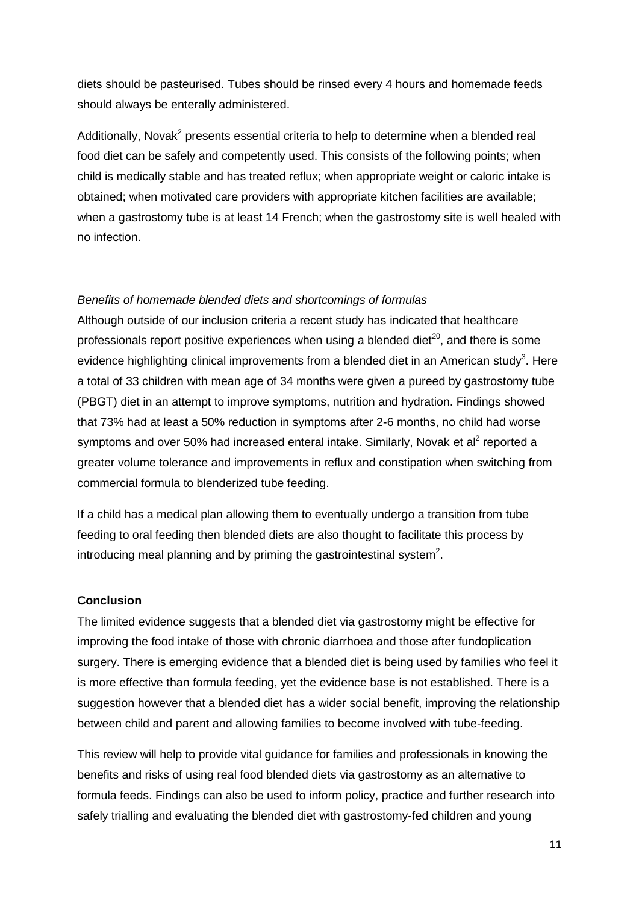diets should be pasteurised. Tubes should be rinsed every 4 hours and homemade feeds should always be enterally administered.

Additionally, Novak<sup>2</sup> presents essential criteria to help to determine when a blended real food diet can be safely and competently used. This consists of the following points; when child is medically stable and has treated reflux; when appropriate weight or caloric intake is obtained; when motivated care providers with appropriate kitchen facilities are available; when a gastrostomy tube is at least 14 French; when the gastrostomy site is well healed with no infection.

#### *Benefits of homemade blended diets and shortcomings of formulas*

Although outside of our inclusion criteria a recent study has indicated that healthcare professionals report positive experiences when using a blended diet $^{20}$ , and there is some evidence highlighting clinical improvements from a blended diet in an American study<sup>3</sup>. Here a total of 33 children with mean age of 34 months were given a pureed by gastrostomy tube (PBGT) diet in an attempt to improve symptoms, nutrition and hydration. Findings showed that 73% had at least a 50% reduction in symptoms after 2-6 months, no child had worse symptoms and over 50% had increased enteral intake. Similarly, Novak et al<sup>2</sup> reported a greater volume tolerance and improvements in reflux and constipation when switching from commercial formula to blenderized tube feeding.

If a child has a medical plan allowing them to eventually undergo a transition from tube feeding to oral feeding then blended diets are also thought to facilitate this process by introducing meal planning and by priming the gastrointestinal system $2$ .

#### **Conclusion**

The limited evidence suggests that a blended diet via gastrostomy might be effective for improving the food intake of those with chronic diarrhoea and those after fundoplication surgery. There is emerging evidence that a blended diet is being used by families who feel it is more effective than formula feeding, yet the evidence base is not established. There is a suggestion however that a blended diet has a wider social benefit, improving the relationship between child and parent and allowing families to become involved with tube-feeding.

This review will help to provide vital guidance for families and professionals in knowing the benefits and risks of using real food blended diets via gastrostomy as an alternative to formula feeds. Findings can also be used to inform policy, practice and further research into safely trialling and evaluating the blended diet with gastrostomy-fed children and young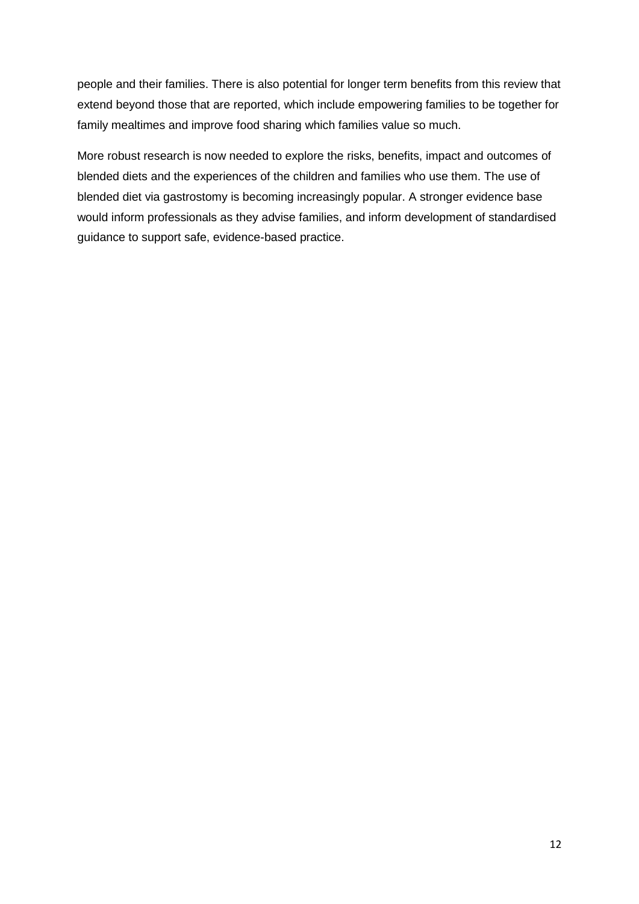people and their families. There is also potential for longer term benefits from this review that extend beyond those that are reported, which include empowering families to be together for family mealtimes and improve food sharing which families value so much.

More robust research is now needed to explore the risks, benefits, impact and outcomes of blended diets and the experiences of the children and families who use them. The use of blended diet via gastrostomy is becoming increasingly popular. A stronger evidence base would inform professionals as they advise families, and inform development of standardised guidance to support safe, evidence-based practice.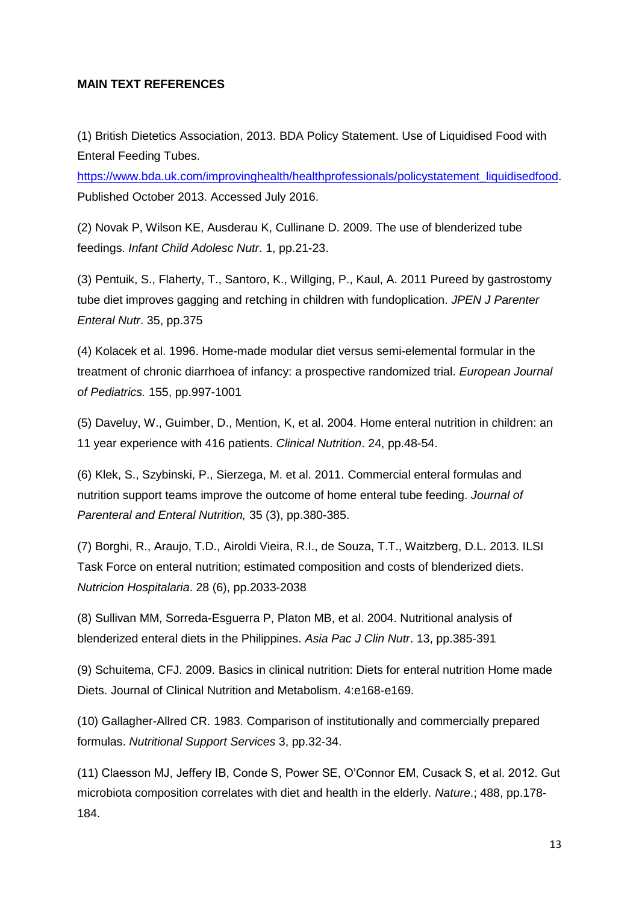## **MAIN TEXT REFERENCES**

(1) British Dietetics Association, 2013. BDA Policy Statement. Use of Liquidised Food with Enteral Feeding Tubes.

[https://www.bda.uk.com/improvinghealth/healthprofessionals/policystatement\\_liquidisedfood.](https://www.bda.uk.com/improvinghealth/healthprofessionals/policystatement_liquidisedfood) Published October 2013. Accessed July 2016.

(2) Novak P, Wilson KE, Ausderau K, Cullinane D. 2009. The use of blenderized tube feedings. *Infant Child Adolesc Nutr*. 1, pp.21-23.

(3) Pentuik, S., Flaherty, T., Santoro, K., Willging, P., Kaul, A. 2011 Pureed by gastrostomy tube diet improves gagging and retching in children with fundoplication. *JPEN J Parenter Enteral Nutr*. 35, pp.375

(4) Kolacek et al. 1996. Home-made modular diet versus semi-elemental formular in the treatment of chronic diarrhoea of infancy: a prospective randomized trial. *European Journal of Pediatrics.* 155, pp.997-1001

(5) Daveluy, W., Guimber, D., Mention, K, et al. 2004. Home enteral nutrition in children: an 11 year experience with 416 patients. *Clinical Nutrition*. 24, pp.48-54.

(6) Klek, S., Szybinski, P., Sierzega, M. et al. 2011. Commercial enteral formulas and nutrition support teams improve the outcome of home enteral tube feeding. *Journal of Parenteral and Enteral Nutrition,* 35 (3), pp.380-385.

(7) Borghi, R., Araujo, T.D., Airoldi Vieira, R.I., de Souza, T.T., Waitzberg, D.L. 2013. ILSI Task Force on enteral nutrition; estimated composition and costs of blenderized diets. *Nutricion Hospitalaria*. 28 (6), pp.2033-2038

(8) Sullivan MM, Sorreda-Esguerra P, Platon MB, et al. 2004. Nutritional analysis of blenderized enteral diets in the Philippines. *Asia Pac J Clin Nutr*. 13, pp.385-391

(9) Schuitema, CFJ. 2009. Basics in clinical nutrition: Diets for enteral nutrition Home made Diets. Journal of Clinical Nutrition and Metabolism. 4:e168-e169.

(10) Gallagher-Allred CR. 1983. Comparison of institutionally and commercially prepared formulas. *Nutritional Support Services* 3, pp.32-34.

(11) Claesson MJ, Jeffery IB, Conde S, Power SE, O'Connor EM, Cusack S, et al. 2012. Gut microbiota composition correlates with diet and health in the elderly. *Nature*.; 488, pp.178- 184.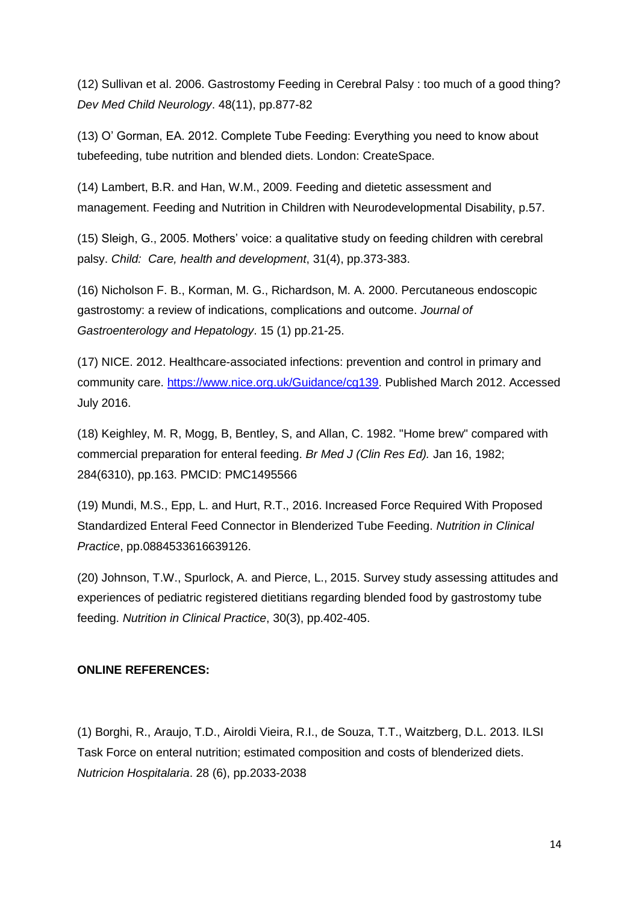(12) Sullivan et al. 2006. Gastrostomy Feeding in Cerebral Palsy : too much of a good thing? *Dev Med Child Neurology*. 48(11), pp.877-82

(13) O' Gorman, EA. 2012. Complete Tube Feeding: Everything you need to know about tubefeeding, tube nutrition and blended diets. London: CreateSpace.

(14) Lambert, B.R. and Han, W.M., 2009. Feeding and dietetic assessment and management. Feeding and Nutrition in Children with Neurodevelopmental Disability, p.57.

(15) Sleigh, G., 2005. Mothers' voice: a qualitative study on feeding children with cerebral palsy. *Child: Care, health and development*, 31(4), pp.373-383.

(16) Nicholson F. B., Korman, M. G., Richardson, M. A. 2000. Percutaneous endoscopic gastrostomy: a review of indications, complications and outcome. *Journal of Gastroenterology and Hepatology*. 15 (1) pp.21-25.

(17) NICE. 2012. Healthcare-associated infections: prevention and control in primary and community care. [https://www.nice.org.uk/Guidance/cg139.](https://www.nice.org.uk/Guidance/cg139) Published March 2012. Accessed July 2016.

(18) Keighley, M. R, Mogg, B, Bentley, S, and Allan, C. 1982. "Home brew" compared with commercial preparation for enteral feeding. *Br Med J (Clin Res Ed).* Jan 16, 1982; 284(6310), pp.163. PMCID: PMC1495566

(19) Mundi, M.S., Epp, L. and Hurt, R.T., 2016. Increased Force Required With Proposed Standardized Enteral Feed Connector in Blenderized Tube Feeding. *Nutrition in Clinical Practice*, pp.0884533616639126.

(20) Johnson, T.W., Spurlock, A. and Pierce, L., 2015. Survey study assessing attitudes and experiences of pediatric registered dietitians regarding blended food by gastrostomy tube feeding. *Nutrition in Clinical Practice*, 30(3), pp.402-405.

# **ONLINE REFERENCES:**

(1) Borghi, R., Araujo, T.D., Airoldi Vieira, R.I., de Souza, T.T., Waitzberg, D.L. 2013. ILSI Task Force on enteral nutrition; estimated composition and costs of blenderized diets. *Nutricion Hospitalaria*. 28 (6), pp.2033-2038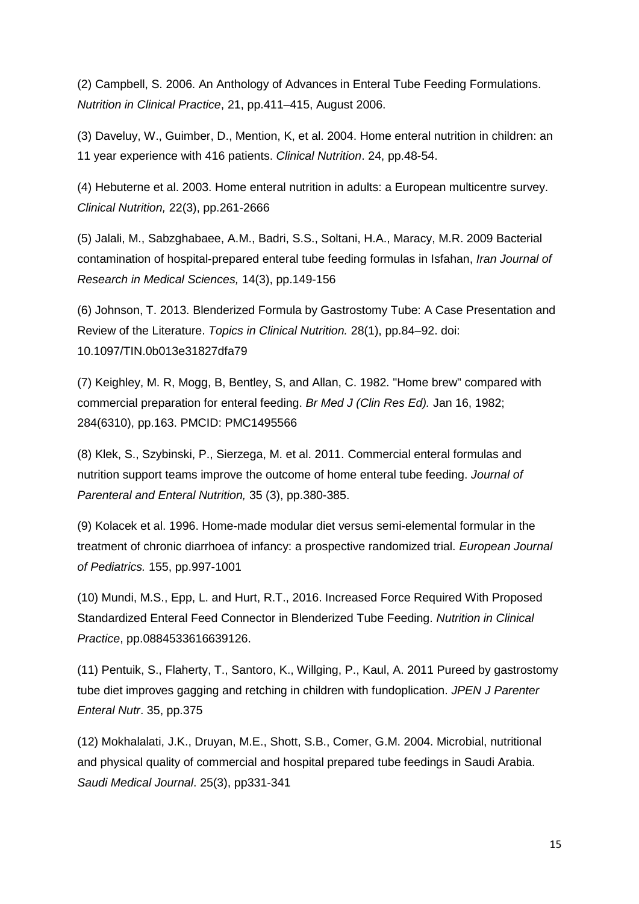(2) Campbell, S. 2006. An Anthology of Advances in Enteral Tube Feeding Formulations. *Nutrition in Clinical Practice*, 21, pp.411–415, August 2006.

(3) Daveluy, W., Guimber, D., Mention, K, et al. 2004. Home enteral nutrition in children: an 11 year experience with 416 patients. *Clinical Nutrition*. 24, pp.48-54.

(4) Hebuterne et al. 2003. Home enteral nutrition in adults: a European multicentre survey. *Clinical Nutrition,* 22(3), pp.261-2666

(5) Jalali, M., Sabzghabaee, A.M., Badri, S.S., Soltani, H.A., Maracy, M.R. 2009 Bacterial contamination of hospital-prepared enteral tube feeding formulas in Isfahan, *Iran Journal of Research in Medical Sciences,* 14(3), pp.149-156

(6) Johnson, T. 2013. Blenderized Formula by Gastrostomy Tube: A Case Presentation and Review of the Literature. *Topics in Clinical Nutrition.* 28(1), pp.84–92. doi: 10.1097/TIN.0b013e31827dfa79

(7) Keighley, M. R, Mogg, B, Bentley, S, and Allan, C. 1982. "Home brew" compared with commercial preparation for enteral feeding. *Br Med J (Clin Res Ed).* Jan 16, 1982; 284(6310), pp.163. PMCID: PMC1495566

(8) Klek, S., Szybinski, P., Sierzega, M. et al. 2011. Commercial enteral formulas and nutrition support teams improve the outcome of home enteral tube feeding. *Journal of Parenteral and Enteral Nutrition,* 35 (3), pp.380-385.

(9) Kolacek et al. 1996. Home-made modular diet versus semi-elemental formular in the treatment of chronic diarrhoea of infancy: a prospective randomized trial. *European Journal of Pediatrics.* 155, pp.997-1001

(10) Mundi, M.S., Epp, L. and Hurt, R.T., 2016. Increased Force Required With Proposed Standardized Enteral Feed Connector in Blenderized Tube Feeding. *Nutrition in Clinical Practice*, pp.0884533616639126.

(11) Pentuik, S., Flaherty, T., Santoro, K., Willging, P., Kaul, A. 2011 Pureed by gastrostomy tube diet improves gagging and retching in children with fundoplication. *JPEN J Parenter Enteral Nutr*. 35, pp.375

(12) Mokhalalati, J.K., Druyan, M.E., Shott, S.B., Comer, G.M. 2004. Microbial, nutritional and physical quality of commercial and hospital prepared tube feedings in Saudi Arabia. *Saudi Medical Journal*. 25(3), pp331-341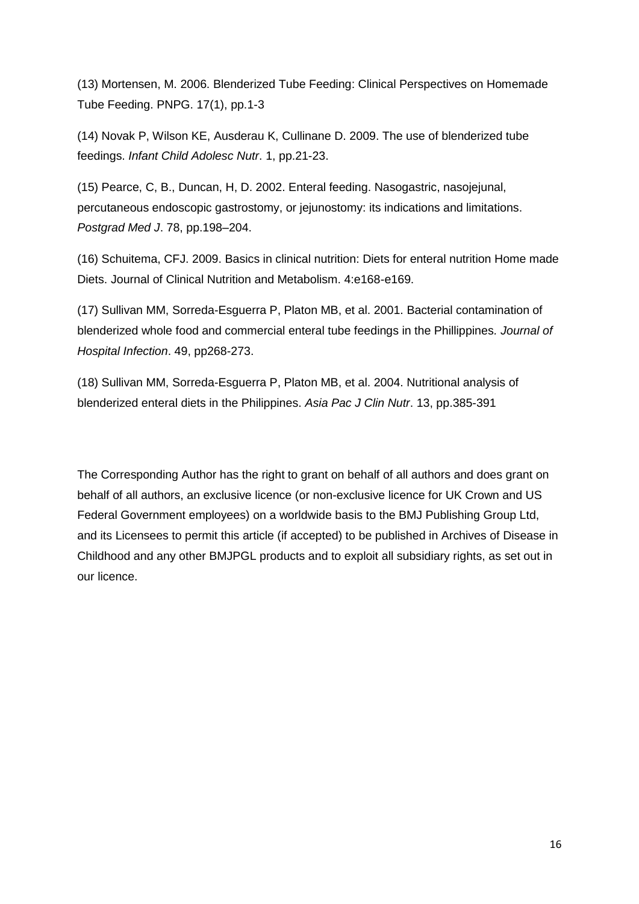(13) Mortensen, M. 2006. Blenderized Tube Feeding: Clinical Perspectives on Homemade Tube Feeding. PNPG. 17(1), pp.1-3

(14) Novak P, Wilson KE, Ausderau K, Cullinane D. 2009. The use of blenderized tube feedings. *Infant Child Adolesc Nutr*. 1, pp.21-23.

(15) Pearce, C, B., Duncan, H, D. 2002. Enteral feeding. Nasogastric, nasojejunal, percutaneous endoscopic gastrostomy, or jejunostomy: its indications and limitations. *Postgrad Med J*. 78, pp.198–204.

(16) Schuitema, CFJ. 2009. Basics in clinical nutrition: Diets for enteral nutrition Home made Diets. Journal of Clinical Nutrition and Metabolism. 4:e168-e169.

(17) Sullivan MM, Sorreda-Esguerra P, Platon MB, et al. 2001. Bacterial contamination of blenderized whole food and commercial enteral tube feedings in the Phillippines*. Journal of Hospital Infection*. 49, pp268-273.

(18) Sullivan MM, Sorreda-Esguerra P, Platon MB, et al. 2004. Nutritional analysis of blenderized enteral diets in the Philippines. *Asia Pac J Clin Nutr*. 13, pp.385-391

The Corresponding Author has the right to grant on behalf of all authors and does grant on behalf of all authors, an exclusive licence (or non-exclusive licence for UK Crown and US Federal Government employees) on a worldwide basis to the BMJ Publishing Group Ltd, and its Licensees to permit this article (if accepted) to be published in Archives of Disease in Childhood and any other BMJPGL products and to exploit all subsidiary rights, as set out in our licence.